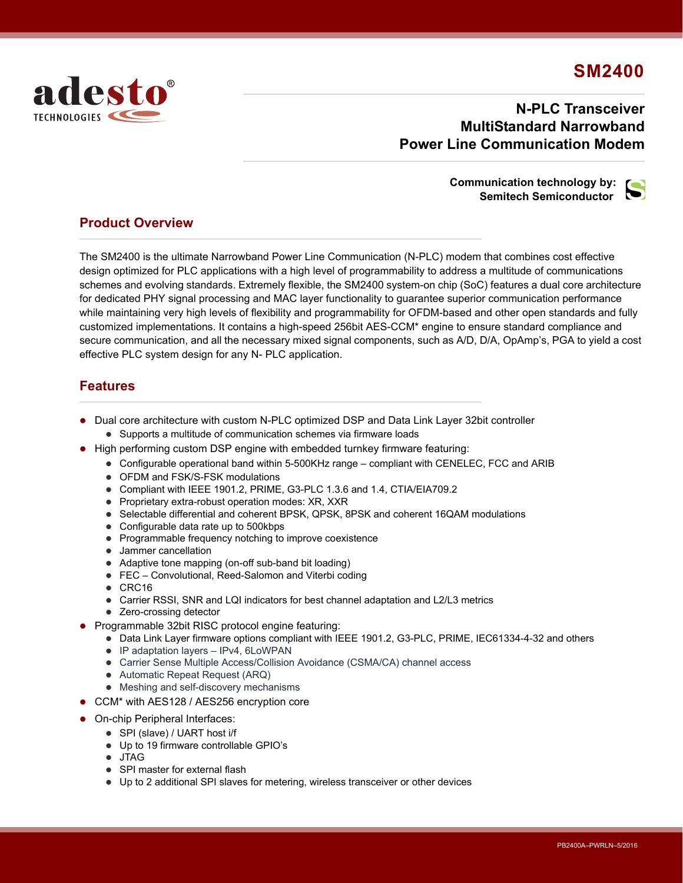# **SM2400**



## **N-PLC Transceiver MultiStandard Narrowband Power Line Communication Modem**

#### **Communication technology by: Semitech Semiconductor**



### **Product Overview**

The SM2400 is the ultimate Narrowband Power Line Communication (N-PLC) modem that combines cost effective design optimized for PLC applications with a high level of programmability to address a multitude of communications schemes and evolving standards. Extremely flexible, the SM2400 system-on chip (SoC) features a dual core architecture for dedicated PHY signal processing and MAC layer functionality to guarantee superior communication performance while maintaining very high levels of flexibility and programmability for OFDM-based and other open standards and fully customized implementations. It contains a high-speed 256bit AES-CCM\* engine to ensure standard compliance and secure communication, and all the necessary mixed signal components, such as A/D, D/A, OpAmp's, PGA to yield a cost effective PLC system design for any N- PLC application.

### **Features**

- Dual core architecture with custom N-PLC optimized DSP and Data Link Layer 32bit controller
	- Supports a multitude of communication schemes via firmware loads
- High performing custom DSP engine with embedded turnkey firmware featuring:
	- Configurable operational band within 5-500KHz range compliant with CENELEC, FCC and ARIB
	- OFDM and FSK/S-FSK modulations
	- Compliant with IEEE 1901.2, PRIME, G3-PLC 1.3.6 and 1.4, CTIA/EIA709.2
	- Proprietary extra-robust operation modes: XR, XXR
	- Selectable differential and coherent BPSK, QPSK, 8PSK and coherent 16QAM modulations
	- Configurable data rate up to 500kbps
	- Programmable frequency notching to improve coexistence
	- Jammer cancellation
	- Adaptive tone mapping (on-off sub-band bit loading)
	- FEC Convolutional, Reed-Salomon and Viterbi coding
	- $\bullet$  CRC16
	- Carrier RSSI, SNR and LQI indicators for best channel adaptation and L2/L3 metrics
	- Zero-crossing detector
- Programmable 32bit RISC protocol engine featuring:
	- Data Link Layer firmware options compliant with IEEE 1901.2, G3-PLC, PRIME, IEC61334-4-32 and others
	- IP adaptation layers IPv4, 6LoWPAN
	- Carrier Sense Multiple Access/Collision Avoidance (CSMA/CA) channel access
	- Automatic Repeat Request (ARQ)
	- Meshing and self-discovery mechanisms
- CCM\* with AES128 / AES256 encryption core
- On-chip Peripheral Interfaces:
	- SPI (slave) / UART host i/f
		- Up to 19 firmware controllable GPIO's
		- JTAG
		- SPI master for external flash
		- Up to 2 additional SPI slaves for metering, wireless transceiver or other devices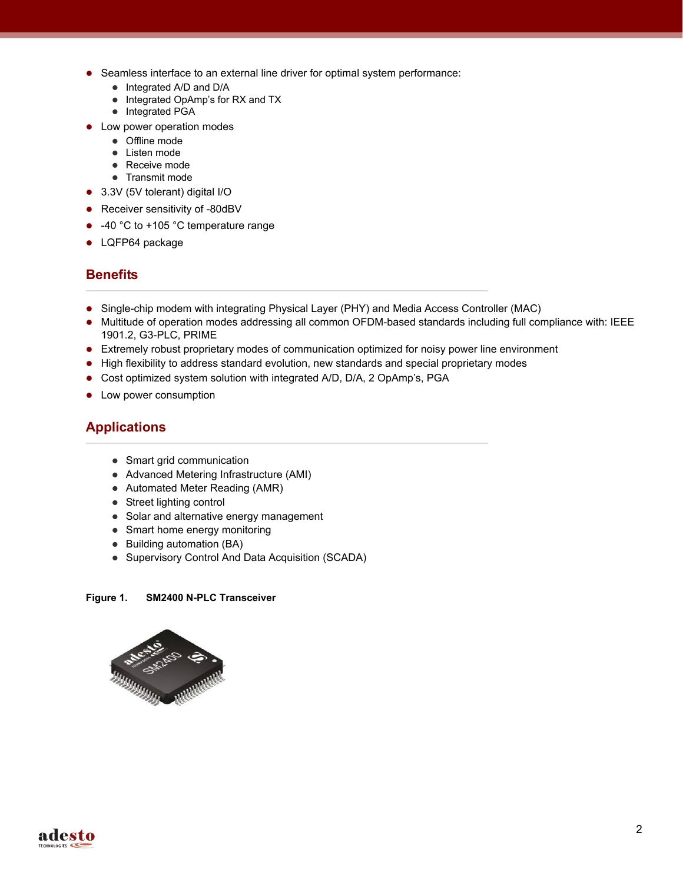- Seamless interface to an external line driver for optimal system performance:
	- Integrated A/D and D/A
	- Integrated OpAmp's for RX and TX
	- Integrated PGA
- Low power operation modes
	- Offline mode
	- Listen mode
	- Receive mode
	- Transmit mode
- 3.3V (5V tolerant) digital I/O
- Receiver sensitivity of -80dBV
- -40 °C to +105 °C temperature range
- LQFP64 package

### **Benefits**

- Single-chip modem with integrating Physical Layer (PHY) and Media Access Controller (MAC)
- Multitude of operation modes addressing all common OFDM-based standards including full compliance with: IEEE 1901.2, G3-PLC, PRIME
- Extremely robust proprietary modes of communication optimized for noisy power line environment
- High flexibility to address standard evolution, new standards and special proprietary modes
- Cost optimized system solution with integrated A/D, D/A, 2 OpAmp's, PGA
- Low power consumption

### **Applications**

- Smart grid communication
- Advanced Metering Infrastructure (AMI)
- Automated Meter Reading (AMR)
- Street lighting control
- Solar and alternative energy management
- Smart home energy monitoring
- Building automation (BA)
- Supervisory Control And Data Acquisition (SCADA)

#### **Figure 1. SM2400 N-PLC Transceiver**



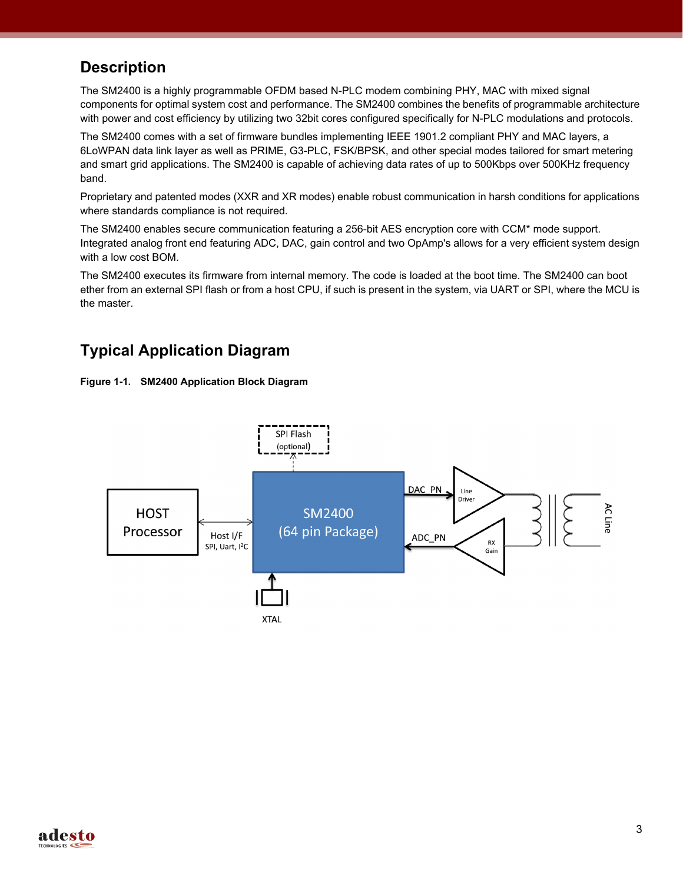# **Description**

The SM2400 is a highly programmable OFDM based N-PLC modem combining PHY, MAC with mixed signal components for optimal system cost and performance. The SM2400 combines the benefits of programmable architecture with power and cost efficiency by utilizing two 32bit cores configured specifically for N-PLC modulations and protocols.

The SM2400 comes with a set of firmware bundles implementing IEEE 1901.2 compliant PHY and MAC layers, a 6LoWPAN data link layer as well as PRIME, G3-PLC, FSK/BPSK, and other special modes tailored for smart metering and smart grid applications. The SM2400 is capable of achieving data rates of up to 500Kbps over 500KHz frequency band.

Proprietary and patented modes (XXR and XR modes) enable robust communication in harsh conditions for applications where standards compliance is not required.

The SM2400 enables secure communication featuring a 256-bit AES encryption core with CCM\* mode support. Integrated analog front end featuring ADC, DAC, gain control and two OpAmp's allows for a very efficient system design with a low cost BOM.

The SM2400 executes its firmware from internal memory. The code is loaded at the boot time. The SM2400 can boot ether from an external SPI flash or from a host CPU, if such is present in the system, via UART or SPI, where the MCU is the master.

# **Typical Application Diagram**





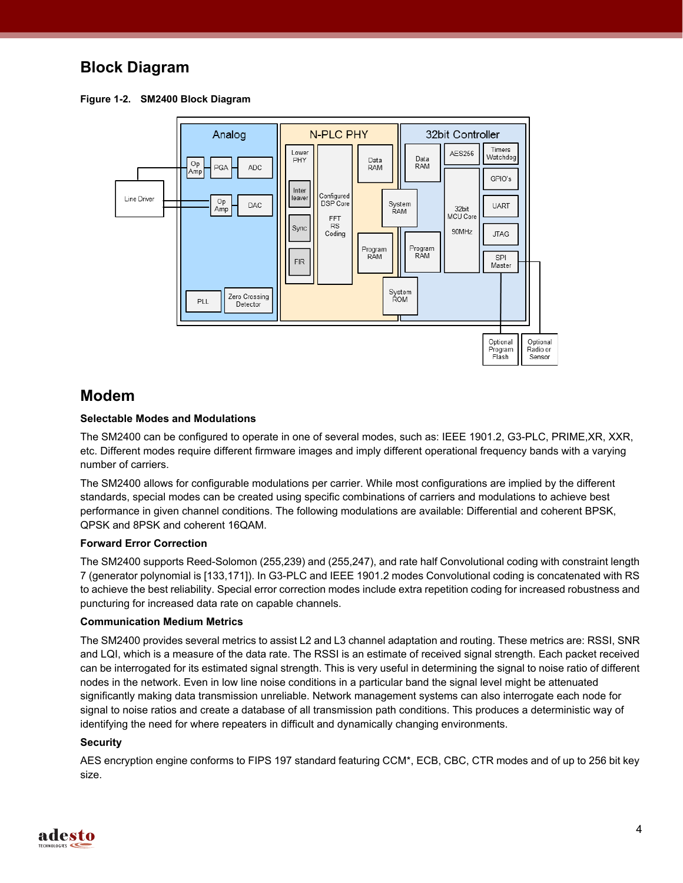## **Block Diagram**

**Figure 1-2. SM2400 Block Diagram**



### **Modem**

#### **Selectable Modes and Modulations**

The SM2400 can be configured to operate in one of several modes, such as: IEEE 1901.2, G3-PLC, PRIME,XR, XXR, etc. Different modes require different firmware images and imply different operational frequency bands with a varying number of carriers.

The SM2400 allows for configurable modulations per carrier. While most configurations are implied by the different standards, special modes can be created using specific combinations of carriers and modulations to achieve best performance in given channel conditions. The following modulations are available: Differential and coherent BPSK, QPSK and 8PSK and coherent 16QAM.

#### **Forward Error Correction**

The SM2400 supports Reed-Solomon (255,239) and (255,247), and rate half Convolutional coding with constraint length 7 (generator polynomial is [133,171]). In G3-PLC and IEEE 1901.2 modes Convolutional coding is concatenated with RS to achieve the best reliability. Special error correction modes include extra repetition coding for increased robustness and puncturing for increased data rate on capable channels.

#### **Communication Medium Metrics**

The SM2400 provides several metrics to assist L2 and L3 channel adaptation and routing. These metrics are: RSSI, SNR and LQI, which is a measure of the data rate. The RSSI is an estimate of received signal strength. Each packet received can be interrogated for its estimated signal strength. This is very useful in determining the signal to noise ratio of different nodes in the network. Even in low line noise conditions in a particular band the signal level might be attenuated significantly making data transmission unreliable. Network management systems can also interrogate each node for signal to noise ratios and create a database of all transmission path conditions. This produces a deterministic way of identifying the need for where repeaters in difficult and dynamically changing environments.

#### **Security**

AES encryption engine conforms to FIPS 197 standard featuring CCM\*, ECB, CBC, CTR modes and of up to 256 bit key size.

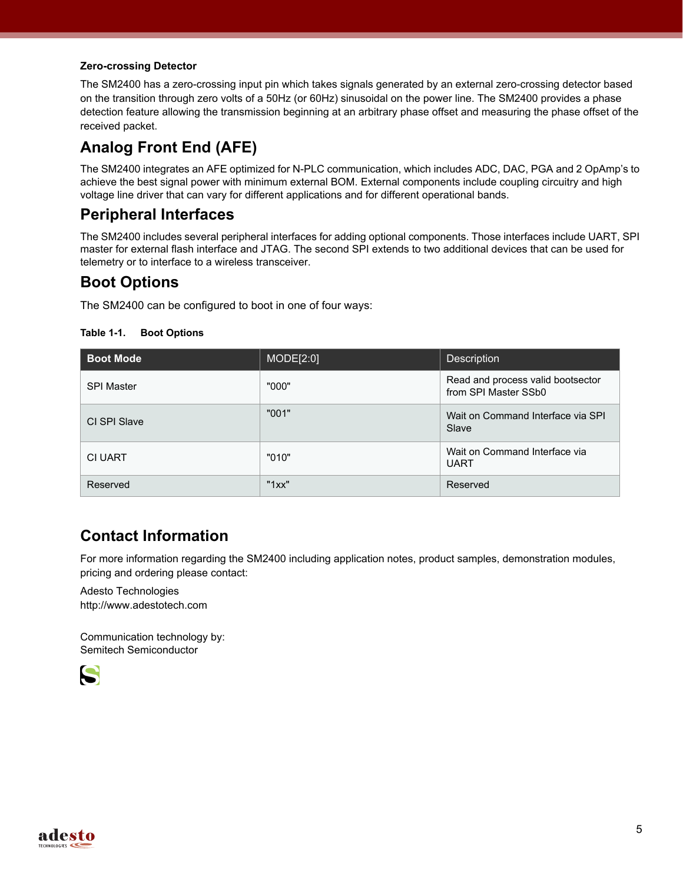#### **Zero-crossing Detector**

The SM2400 has a zero-crossing input pin which takes signals generated by an external zero-crossing detector based on the transition through zero volts of a 50Hz (or 60Hz) sinusoidal on the power line. The SM2400 provides a phase detection feature allowing the transmission beginning at an arbitrary phase offset and measuring the phase offset of the received packet.

# **Analog Front End (AFE)**

The SM2400 integrates an AFE optimized for N-PLC communication, which includes ADC, DAC, PGA and 2 OpAmp's to achieve the best signal power with minimum external BOM. External components include coupling circuitry and high voltage line driver that can vary for different applications and for different operational bands.

## **Peripheral Interfaces**

The SM2400 includes several peripheral interfaces for adding optional components. Those interfaces include UART, SPI master for external flash interface and JTAG. The second SPI extends to two additional devices that can be used for telemetry or to interface to a wireless transceiver.

## **Boot Options**

The SM2400 can be configured to boot in one of four ways:

**Table 1-1. Boot Options**

| <b>Boot Mode</b>  | MODE[2:0] | <b>Description</b>                                        |
|-------------------|-----------|-----------------------------------------------------------|
| <b>SPI Master</b> | "000"     | Read and process valid bootsector<br>from SPI Master SSb0 |
| CI SPI Slave      | "001"     | Wait on Command Interface via SPI<br>Slave                |
| <b>CI UART</b>    | "010"     | Wait on Command Interface via<br><b>UART</b>              |
| Reserved          | "1xx"     | Reserved                                                  |

## **Contact Information**

For more information regarding the SM2400 including application notes, product samples, demonstration modules, pricing and ordering please contact:

Adesto Technologies http://www.adestotech.com

Communication technology by: Semitech Semiconductor